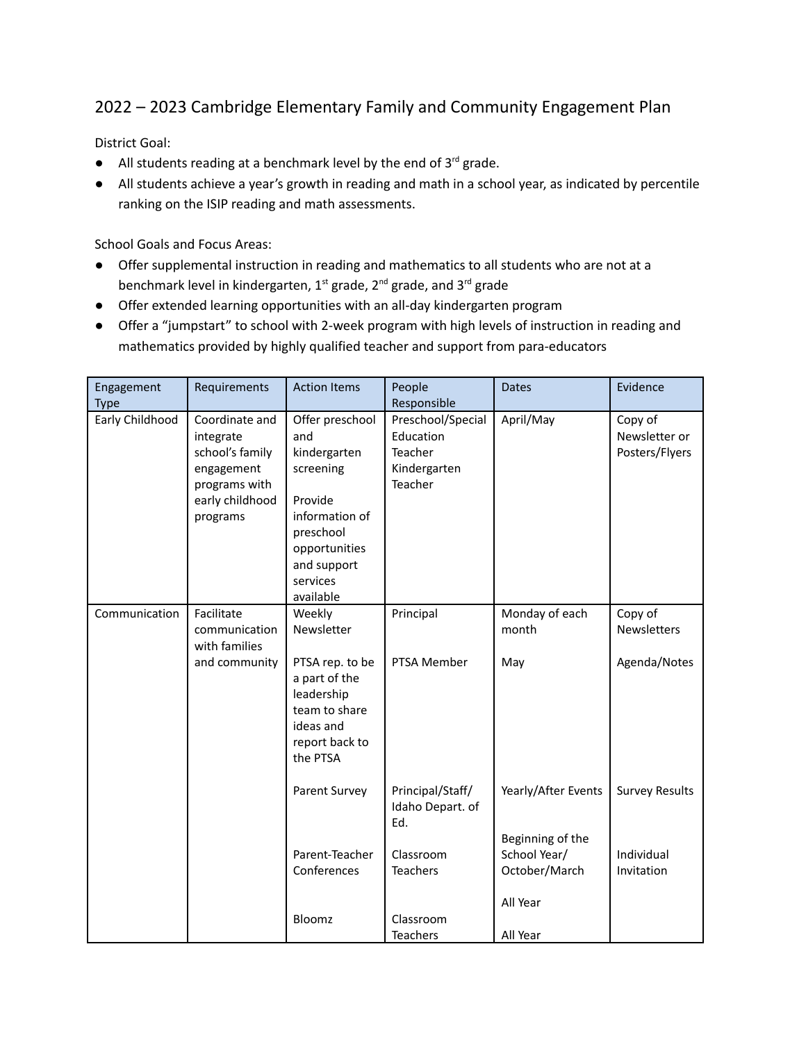## 2022 – 2023 Cambridge Elementary Family and Community Engagement Plan

District Goal:

- $\bullet$  All students reading at a benchmark level by the end of 3<sup>rd</sup> grade.
- All students achieve a year's growth in reading and math in a school year, as indicated by percentile ranking on the ISIP reading and math assessments.

School Goals and Focus Areas:

- Offer supplemental instruction in reading and mathematics to all students who are not at a benchmark level in kindergarten, 1st grade, 2<sup>nd</sup> grade, and 3<sup>rd</sup> grade
- Offer extended learning opportunities with an all-day kindergarten program
- Offer a "jumpstart" to school with 2-week program with high levels of instruction in reading and mathematics provided by highly qualified teacher and support from para-educators

| Engagement<br><b>Type</b> | Requirements                                                                                                 | <b>Action Items</b>                                                                                                                                    | People<br>Responsible                                                | <b>Dates</b>                                                  | Evidence                                   |
|---------------------------|--------------------------------------------------------------------------------------------------------------|--------------------------------------------------------------------------------------------------------------------------------------------------------|----------------------------------------------------------------------|---------------------------------------------------------------|--------------------------------------------|
| Early Childhood           | Coordinate and<br>integrate<br>school's family<br>engagement<br>programs with<br>early childhood<br>programs | Offer preschool<br>and<br>kindergarten<br>screening<br>Provide<br>information of<br>preschool<br>opportunities<br>and support<br>services<br>available | Preschool/Special<br>Education<br>Teacher<br>Kindergarten<br>Teacher | April/May                                                     | Copy of<br>Newsletter or<br>Posters/Flyers |
| Communication             | Facilitate<br>communication<br>with families                                                                 | Weekly<br>Newsletter                                                                                                                                   | Principal                                                            | Monday of each<br>month                                       | Copy of<br><b>Newsletters</b>              |
|                           | and community                                                                                                | PTSA rep. to be<br>a part of the<br>leadership<br>team to share<br>ideas and<br>report back to<br>the PTSA                                             | PTSA Member                                                          | May                                                           | Agenda/Notes                               |
|                           |                                                                                                              | Parent Survey                                                                                                                                          | Principal/Staff/<br>Idaho Depart. of<br>Ed.                          | Yearly/After Events                                           | <b>Survey Results</b>                      |
|                           |                                                                                                              | Parent-Teacher<br>Conferences                                                                                                                          | Classroom<br><b>Teachers</b>                                         | Beginning of the<br>School Year/<br>October/March<br>All Year | Individual<br>Invitation                   |
|                           |                                                                                                              | Bloomz                                                                                                                                                 | Classroom<br><b>Teachers</b>                                         | All Year                                                      |                                            |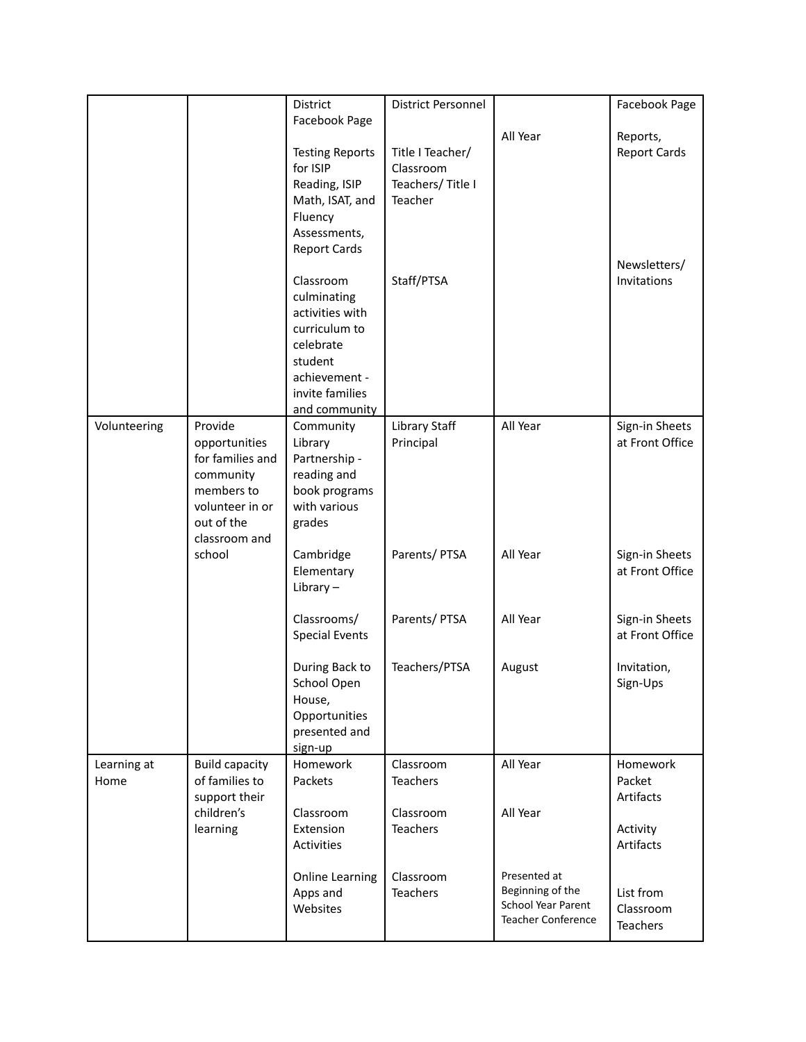|                     |                                                                                                                           | District<br>Facebook Page                                                                                                                 | District Personnel                                           |                                                                                     | Facebook Page                                            |
|---------------------|---------------------------------------------------------------------------------------------------------------------------|-------------------------------------------------------------------------------------------------------------------------------------------|--------------------------------------------------------------|-------------------------------------------------------------------------------------|----------------------------------------------------------|
|                     |                                                                                                                           | <b>Testing Reports</b><br>for ISIP<br>Reading, ISIP<br>Math, ISAT, and<br>Fluency<br>Assessments,<br><b>Report Cards</b>                  | Title I Teacher/<br>Classroom<br>Teachers/Title I<br>Teacher | All Year                                                                            | Reports,<br><b>Report Cards</b>                          |
|                     |                                                                                                                           | Classroom<br>culminating<br>activities with<br>curriculum to<br>celebrate<br>student<br>achievement -<br>invite families<br>and community | Staff/PTSA                                                   |                                                                                     | Newsletters/<br>Invitations                              |
| Volunteering        | Provide<br>opportunities<br>for families and<br>community<br>members to<br>volunteer in or<br>out of the<br>classroom and | Community<br>Library<br>Partnership -<br>reading and<br>book programs<br>with various<br>grades                                           | <b>Library Staff</b><br>Principal                            | All Year                                                                            | Sign-in Sheets<br>at Front Office                        |
|                     | school                                                                                                                    | Cambridge<br>Elementary<br>Library $-$                                                                                                    | Parents/ PTSA                                                | All Year                                                                            | Sign-in Sheets<br>at Front Office                        |
|                     |                                                                                                                           | Classrooms/<br><b>Special Events</b>                                                                                                      | Parents/ PTSA                                                | All Year                                                                            | Sign-in Sheets<br>at Front Office                        |
|                     |                                                                                                                           | During Back to<br>School Open<br>House,<br>Opportunities<br>presented and<br>sign-up                                                      | Teachers/PTSA                                                | August                                                                              | Invitation,<br>Sign-Ups                                  |
| Learning at<br>Home | <b>Build capacity</b><br>of families to<br>support their<br>children's<br>learning                                        | Homework<br>Packets<br>Classroom<br>Extension<br>Activities                                                                               | Classroom<br><b>Teachers</b><br>Classroom<br><b>Teachers</b> | All Year<br>All Year                                                                | Homework<br>Packet<br>Artifacts<br>Activity<br>Artifacts |
|                     |                                                                                                                           | <b>Online Learning</b><br>Apps and<br>Websites                                                                                            | Classroom<br><b>Teachers</b>                                 | Presented at<br>Beginning of the<br>School Year Parent<br><b>Teacher Conference</b> | List from<br>Classroom<br><b>Teachers</b>                |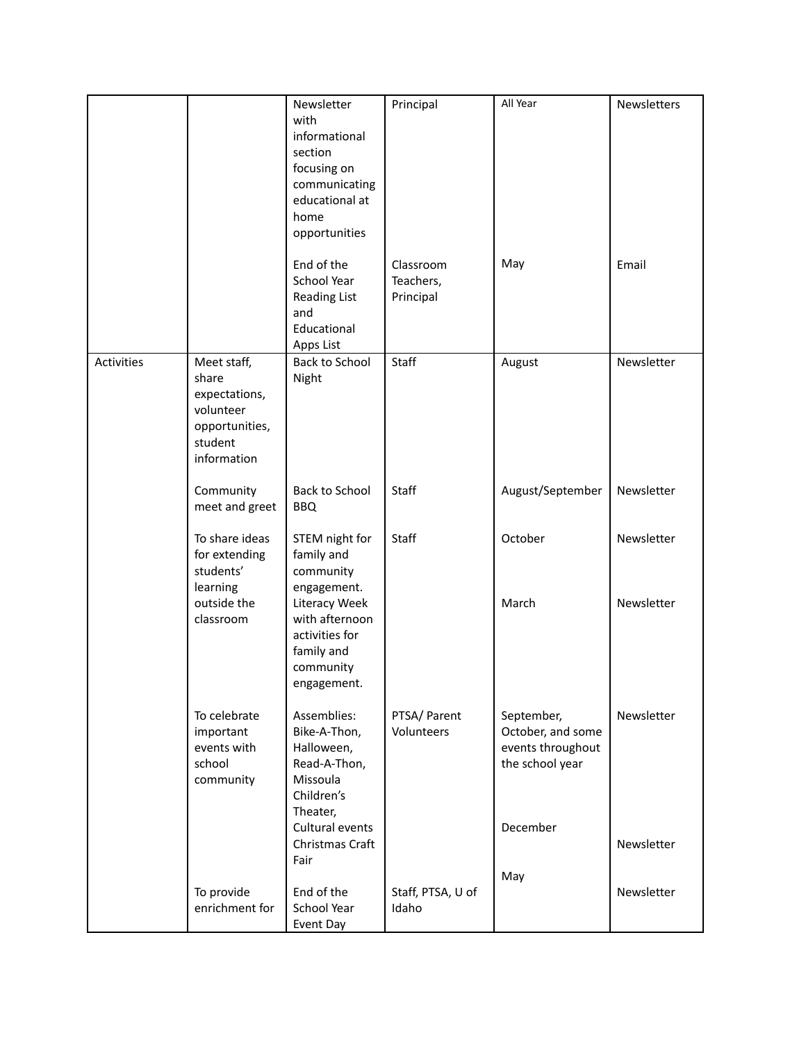|            |                                                                                                | Newsletter<br>with<br>informational<br>section<br>focusing on<br>communicating<br>educational at<br>home<br>opportunities | Principal                           | All Year                                                                | Newsletters |
|------------|------------------------------------------------------------------------------------------------|---------------------------------------------------------------------------------------------------------------------------|-------------------------------------|-------------------------------------------------------------------------|-------------|
|            |                                                                                                | End of the<br>School Year<br>Reading List<br>and<br>Educational<br>Apps List                                              | Classroom<br>Teachers,<br>Principal | May                                                                     | Email       |
| Activities | Meet staff,<br>share<br>expectations,<br>volunteer<br>opportunities,<br>student<br>information | <b>Back to School</b><br>Night                                                                                            | Staff                               | August                                                                  | Newsletter  |
|            | Community<br>meet and greet                                                                    | <b>Back to School</b><br><b>BBQ</b>                                                                                       | Staff                               | August/September                                                        | Newsletter  |
|            | To share ideas<br>for extending<br>students'<br>learning                                       | STEM night for<br>family and<br>community<br>engagement.                                                                  | Staff                               | October                                                                 | Newsletter  |
|            | outside the<br>classroom                                                                       | Literacy Week<br>with afternoon<br>activities for<br>family and<br>community<br>engagement.                               |                                     | March                                                                   | Newsletter  |
|            | To celebrate<br>important<br>events with<br>school<br>community                                | Assemblies:<br>Bike-A-Thon,<br>Halloween,<br>Read-A-Thon,<br>Missoula<br>Children's<br>Theater,                           | PTSA/ Parent<br>Volunteers          | September,<br>October, and some<br>events throughout<br>the school year | Newsletter  |
|            |                                                                                                | Cultural events<br>Christmas Craft<br>Fair                                                                                |                                     | December                                                                | Newsletter  |
|            | To provide<br>enrichment for                                                                   | End of the<br>School Year<br>Event Day                                                                                    | Staff, PTSA, U of<br>Idaho          | May                                                                     | Newsletter  |